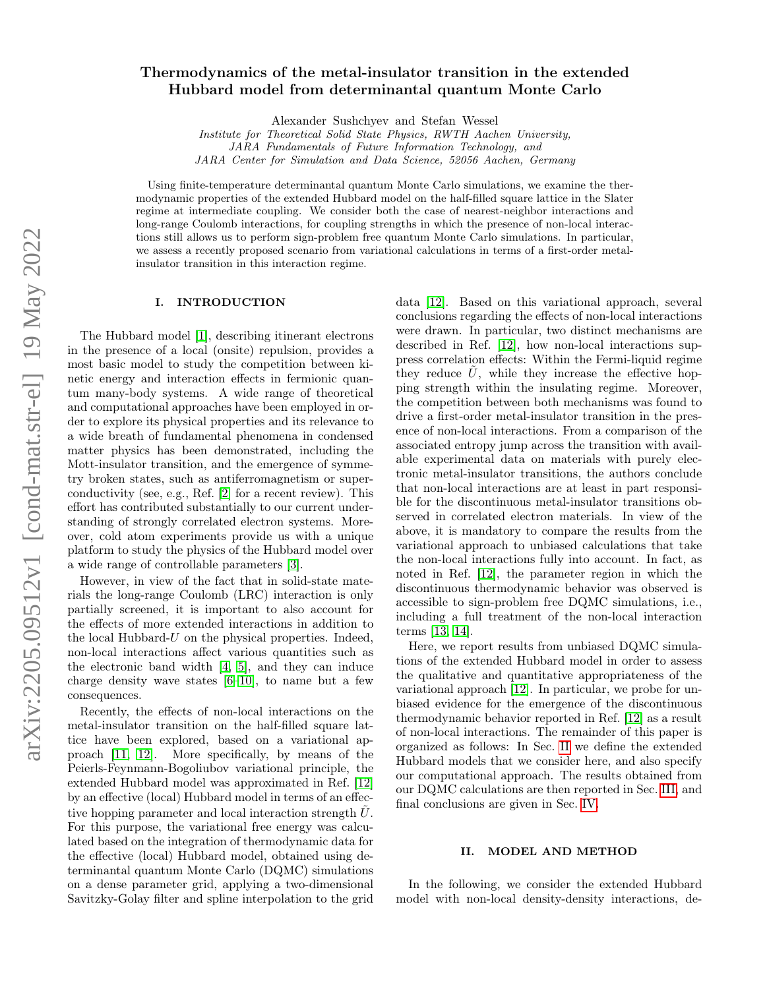# Thermodynamics of the metal-insulator transition in the extended Hubbard model from determinantal quantum Monte Carlo

Alexander Sushchyev and Stefan Wessel

Institute for Theoretical Solid State Physics, RWTH Aachen University, JARA Fundamentals of Future Information Technology, and JARA Center for Simulation and Data Science, 52056 Aachen, Germany

Using finite-temperature determinantal quantum Monte Carlo simulations, we examine the thermodynamic properties of the extended Hubbard model on the half-filled square lattice in the Slater regime at intermediate coupling. We consider both the case of nearest-neighbor interactions and long-range Coulomb interactions, for coupling strengths in which the presence of non-local interactions still allows us to perform sign-problem free quantum Monte Carlo simulations. In particular, we assess a recently proposed scenario from variational calculations in terms of a first-order metalinsulator transition in this interaction regime.

#### I. INTRODUCTION

The Hubbard model [\[1\]](#page-6-0), describing itinerant electrons in the presence of a local (onsite) repulsion, provides a most basic model to study the competition between kinetic energy and interaction effects in fermionic quantum many-body systems. A wide range of theoretical and computational approaches have been employed in order to explore its physical properties and its relevance to a wide breath of fundamental phenomena in condensed matter physics has been demonstrated, including the Mott-insulator transition, and the emergence of symmetry broken states, such as antiferromagnetism or superconductivity (see, e.g., Ref. [\[2\]](#page-6-1) for a recent review). This effort has contributed substantially to our current understanding of strongly correlated electron systems. Moreover, cold atom experiments provide us with a unique platform to study the physics of the Hubbard model over a wide range of controllable parameters [\[3\]](#page-6-2).

However, in view of the fact that in solid-state materials the long-range Coulomb (LRC) interaction is only partially screened, it is important to also account for the effects of more extended interactions in addition to the local Hubbard- $U$  on the physical properties. Indeed, non-local interactions affect various quantities such as the electronic band width [\[4,](#page-6-3) [5\]](#page-6-4), and they can induce charge density wave states [\[6–](#page-6-5)[10\]](#page-6-6), to name but a few consequences.

Recently, the effects of non-local interactions on the metal-insulator transition on the half-filled square lattice have been explored, based on a variational approach [\[11,](#page-6-7) [12\]](#page-6-8). More specifically, by means of the Peierls-Feynmann-Bogoliubov variational principle, the extended Hubbard model was approximated in Ref. [\[12\]](#page-6-8) by an effective (local) Hubbard model in terms of an effective hopping parameter and local interaction strength  $\hat{U}$ . For this purpose, the variational free energy was calculated based on the integration of thermodynamic data for the effective (local) Hubbard model, obtained using determinantal quantum Monte Carlo (DQMC) simulations on a dense parameter grid, applying a two-dimensional Savitzky-Golay filter and spline interpolation to the grid

data [\[12\]](#page-6-8). Based on this variational approach, several conclusions regarding the effects of non-local interactions were drawn. In particular, two distinct mechanisms are described in Ref. [\[12\]](#page-6-8), how non-local interactions suppress correlation effects: Within the Fermi-liquid regime they reduce  $\hat{U}$ , while they increase the effective hopping strength within the insulating regime. Moreover, the competition between both mechanisms was found to drive a first-order metal-insulator transition in the presence of non-local interactions. From a comparison of the associated entropy jump across the transition with available experimental data on materials with purely electronic metal-insulator transitions, the authors conclude that non-local interactions are at least in part responsible for the discontinuous metal-insulator transitions observed in correlated electron materials. In view of the above, it is mandatory to compare the results from the variational approach to unbiased calculations that take the non-local interactions fully into account. In fact, as noted in Ref. [\[12\]](#page-6-8), the parameter region in which the discontinuous thermodynamic behavior was observed is accessible to sign-problem free DQMC simulations, i.e., including a full treatment of the non-local interaction terms [\[13,](#page-6-9) [14\]](#page-6-10).

Here, we report results from unbiased DQMC simulations of the extended Hubbard model in order to assess the qualitative and quantitative appropriateness of the variational approach [\[12\]](#page-6-8). In particular, we probe for unbiased evidence for the emergence of the discontinuous thermodynamic behavior reported in Ref. [\[12\]](#page-6-8) as a result of non-local interactions. The remainder of this paper is organized as follows: In Sec. [II](#page-0-0) we define the extended Hubbard models that we consider here, and also specify our computational approach. The results obtained from our DQMC calculations are then reported in Sec. [III,](#page-1-0) and final conclusions are given in Sec. [IV.](#page-4-0)

## <span id="page-0-0"></span>II. MODEL AND METHOD

In the following, we consider the extended Hubbard model with non-local density-density interactions, de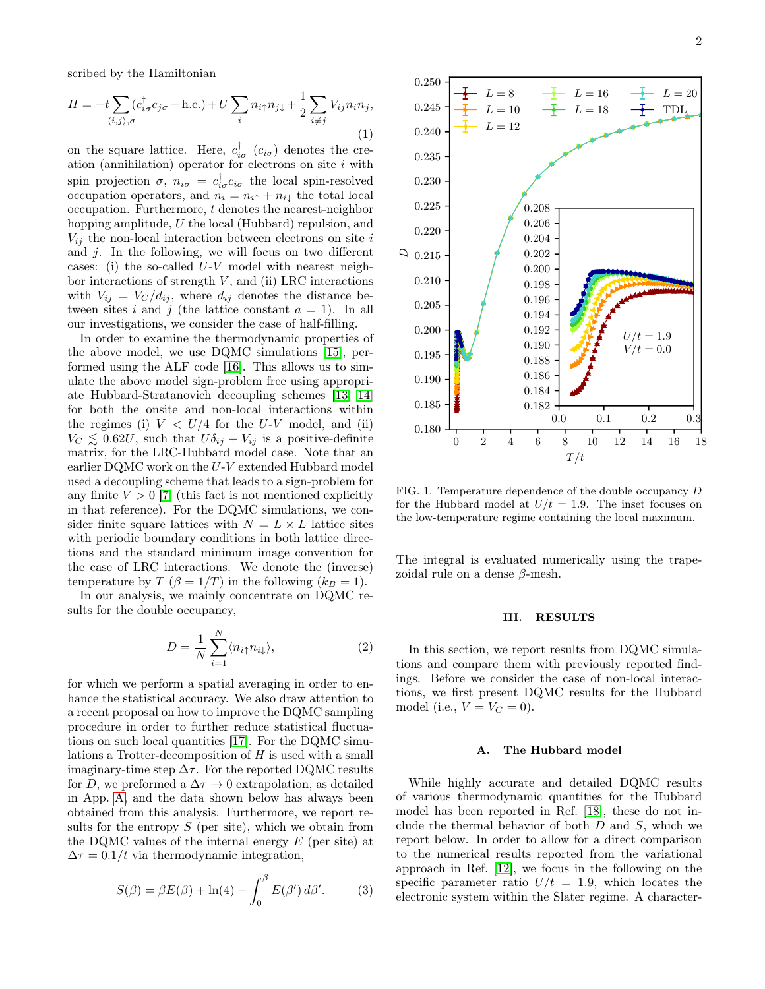scribed by the Hamiltonian

$$
H = -t \sum_{\langle i,j \rangle,\sigma} (c_{i\sigma}^{\dagger} c_{j\sigma} + \text{h.c.}) + U \sum_{i} n_{i\uparrow} n_{j\downarrow} + \frac{1}{2} \sum_{i \neq j} V_{ij} n_{i} n_{j}, \tag{1}
$$

on the square lattice. Here,  $c_{i\sigma}^{\dagger}$  ( $c_{i\sigma}$ ) denotes the creation (annihilation) operator for electrons on site  $i$  with spin projection  $\sigma$ ,  $n_{i\sigma} = c_{i\sigma}^{\dagger} c_{i\sigma}$  the local spin-resolved occupation operators, and  $n_i = n_{i\uparrow} + n_{i\downarrow}$  the total local occupation. Furthermore, t denotes the nearest-neighbor hopping amplitude, U the local (Hubbard) repulsion, and  $V_{ij}$  the non-local interaction between electrons on site i and  $j$ . In the following, we will focus on two different cases: (i) the so-called U-V model with nearest neighbor interactions of strength  $V$ , and (ii) LRC interactions with  $V_{ij} = V_C/d_{ij}$ , where  $d_{ij}$  denotes the distance between sites i and j (the lattice constant  $a = 1$ ). In all our investigations, we consider the case of half-filling.

In order to examine the thermodynamic properties of the above model, we use DQMC simulations [\[15\]](#page-6-11), performed using the ALF code [\[16\]](#page-6-12). This allows us to simulate the above model sign-problem free using appropriate Hubbard-Stratanovich decoupling schemes [\[13,](#page-6-9) [14\]](#page-6-10) for both the onsite and non-local interactions within the regimes (i)  $V < U/4$  for the U-V model, and (ii)  $V_C \lesssim 0.62U$ , such that  $U\delta_{ij} + V_{ij}$  is a positive-definite matrix, for the LRC-Hubbard model case. Note that an earlier DQMC work on the U-V extended Hubbard model used a decoupling scheme that leads to a sign-problem for any finite  $V > 0$  [\[7\]](#page-6-13) (this fact is not mentioned explicitly in that reference). For the DQMC simulations, we consider finite square lattices with  $N = L \times L$  lattice sites with periodic boundary conditions in both lattice directions and the standard minimum image convention for the case of LRC interactions. We denote the (inverse) temperature by  $T (\beta = 1/T)$  in the following  $(k_B = 1)$ .

In our analysis, we mainly concentrate on DQMC results for the double occupancy,

$$
D = \frac{1}{N} \sum_{i=1}^{N} \langle n_{i\uparrow} n_{i\downarrow} \rangle, \tag{2}
$$

for which we perform a spatial averaging in order to enhance the statistical accuracy. We also draw attention to a recent proposal on how to improve the DQMC sampling procedure in order to further reduce statistical fluctuations on such local quantities [\[17\]](#page-6-14). For the DQMC simulations a Trotter-decomposition of H is used with a small imaginary-time step  $\Delta \tau$ . For the reported DQMC results for D, we preformed a  $\Delta \tau \rightarrow 0$  extrapolation, as detailed in App. [A,](#page-5-0) and the data shown below has always been obtained from this analysis. Furthermore, we report results for the entropy  $S$  (per site), which we obtain from the DQMC values of the internal energy  $E$  (per site) at  $\Delta \tau = 0.1/t$  via thermodynamic integration,

$$
S(\beta) = \beta E(\beta) + \ln(4) - \int_0^\beta E(\beta') d\beta'.
$$
 (3)



<span id="page-1-1"></span>FIG. 1. Temperature dependence of the double occupancy D for the Hubbard model at  $U/t = 1.9$ . The inset focuses on the low-temperature regime containing the local maximum.

The integral is evaluated numerically using the trapezoidal rule on a dense  $\beta$ -mesh.

# <span id="page-1-0"></span>III. RESULTS

In this section, we report results from DQMC simulations and compare them with previously reported findings. Before we consider the case of non-local interactions, we first present DQMC results for the Hubbard model (i.e.,  $V = V_C = 0$ ).

#### A. The Hubbard model

While highly accurate and detailed DQMC results of various thermodynamic quantities for the Hubbard model has been reported in Ref. [\[18\]](#page-6-15), these do not include the thermal behavior of both  $D$  and  $S$ , which we report below. In order to allow for a direct comparison to the numerical results reported from the variational approach in Ref. [\[12\]](#page-6-8), we focus in the following on the specific parameter ratio  $U/t = 1.9$ , which locates the electronic system within the Slater regime. A character-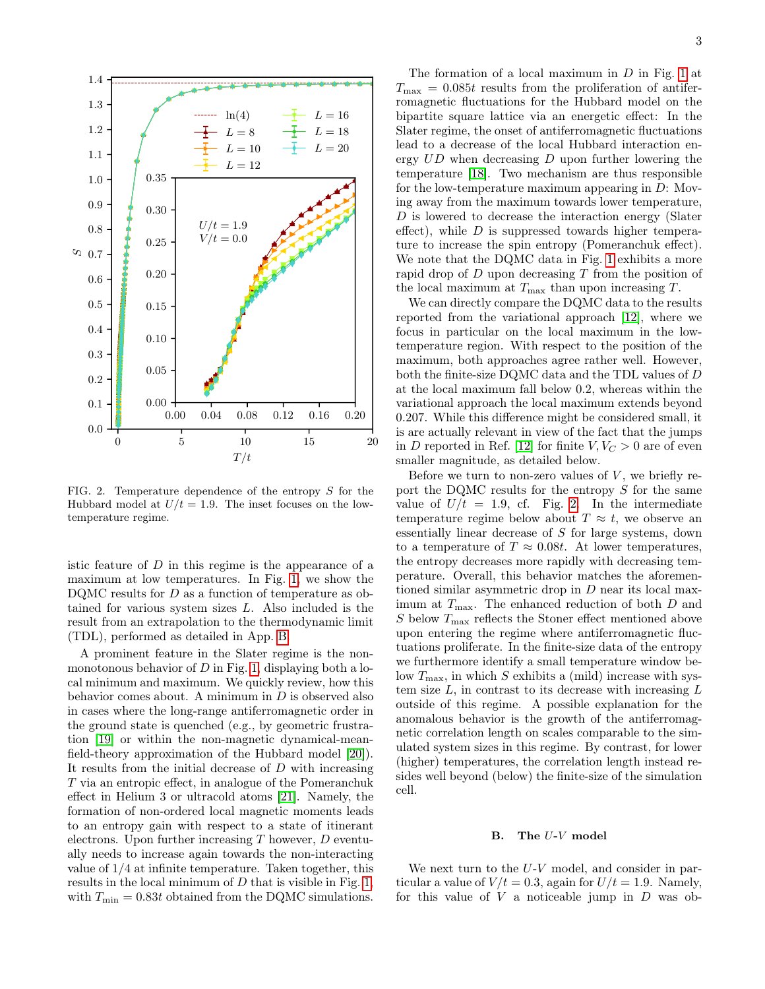

<span id="page-2-0"></span>FIG. 2. Temperature dependence of the entropy S for the Hubbard model at  $U/t = 1.9$ . The inset focuses on the lowtemperature regime.

istic feature of  $D$  in this regime is the appearance of a maximum at low temperatures. In Fig. [1,](#page-1-1) we show the DQMC results for D as a function of temperature as obtained for various system sizes  $L$ . Also included is the result from an extrapolation to the thermodynamic limit (TDL), performed as detailed in App. [B.](#page-5-1)

A prominent feature in the Slater regime is the nonmonotonous behavior of  $D$  in Fig. [1,](#page-1-1) displaying both a local minimum and maximum. We quickly review, how this behavior comes about. A minimum in D is observed also in cases where the long-range antiferromagnetic order in the ground state is quenched (e.g., by geometric frustration [\[19\]](#page-6-16) or within the non-magnetic dynamical-meanfield-theory approximation of the Hubbard model [\[20\]](#page-6-17)). It results from the initial decrease of  $D$  with increasing T via an entropic effect, in analogue of the Pomeranchuk effect in Helium 3 or ultracold atoms [\[21\]](#page-6-18). Namely, the formation of non-ordered local magnetic moments leads to an entropy gain with respect to a state of itinerant electrons. Upon further increasing  $T$  however,  $D$  eventually needs to increase again towards the non-interacting value of 1/4 at infinite temperature. Taken together, this results in the local minimum of D that is visible in Fig. [1,](#page-1-1) with  $T_{\min} = 0.83t$  obtained from the DQMC simulations.

The formation of a local maximum in  $D$  in Fig. [1](#page-1-1) at  $T_{\text{max}} = 0.085t$  results from the proliferation of antiferromagnetic fluctuations for the Hubbard model on the bipartite square lattice via an energetic effect: In the Slater regime, the onset of antiferromagnetic fluctuations lead to a decrease of the local Hubbard interaction energy UD when decreasing D upon further lowering the temperature [\[18\]](#page-6-15). Two mechanism are thus responsible for the low-temperature maximum appearing in  $D$ : Moving away from the maximum towards lower temperature, D is lowered to decrease the interaction energy (Slater effect), while  $D$  is suppressed towards higher temperature to increase the spin entropy (Pomeranchuk effect). We note that the DQMC data in Fig. [1](#page-1-1) exhibits a more rapid drop of  $D$  upon decreasing  $T$  from the position of the local maximum at  $T_{\text{max}}$  than upon increasing T.

We can directly compare the DQMC data to the results reported from the variational approach [\[12\]](#page-6-8), where we focus in particular on the local maximum in the lowtemperature region. With respect to the position of the maximum, both approaches agree rather well. However, both the finite-size DQMC data and the TDL values of D at the local maximum fall below 0.2, whereas within the variational approach the local maximum extends beyond 0.207. While this difference might be considered small, it is are actually relevant in view of the fact that the jumps in D reported in Ref. [\[12\]](#page-6-8) for finite  $V, V_C > 0$  are of even smaller magnitude, as detailed below.

Before we turn to non-zero values of  $V$ , we briefly report the DQMC results for the entropy S for the same value of  $U/t = 1.9$ , cf. Fig. [2.](#page-2-0) In the intermediate temperature regime below about  $T \approx t$ , we observe an essentially linear decrease of S for large systems, down to a temperature of  $T \approx 0.08t$ . At lower temperatures, the entropy decreases more rapidly with decreasing temperature. Overall, this behavior matches the aforementioned similar asymmetric drop in D near its local maximum at  $T_{\text{max}}$ . The enhanced reduction of both D and S below  $T_{\text{max}}$  reflects the Stoner effect mentioned above upon entering the regime where antiferromagnetic fluctuations proliferate. In the finite-size data of the entropy we furthermore identify a small temperature window below  $T_{\text{max}}$ , in which S exhibits a (mild) increase with system size  $L$ , in contrast to its decrease with increasing  $L$ outside of this regime. A possible explanation for the anomalous behavior is the growth of the antiferromagnetic correlation length on scales comparable to the simulated system sizes in this regime. By contrast, for lower (higher) temperatures, the correlation length instead resides well beyond (below) the finite-size of the simulation cell.

## B. The U-V model

We next turn to the U-V model, and consider in particular a value of  $V/t = 0.3$ , again for  $U/t = 1.9$ . Namely, for this value of  $V$  a noticeable jump in  $D$  was ob-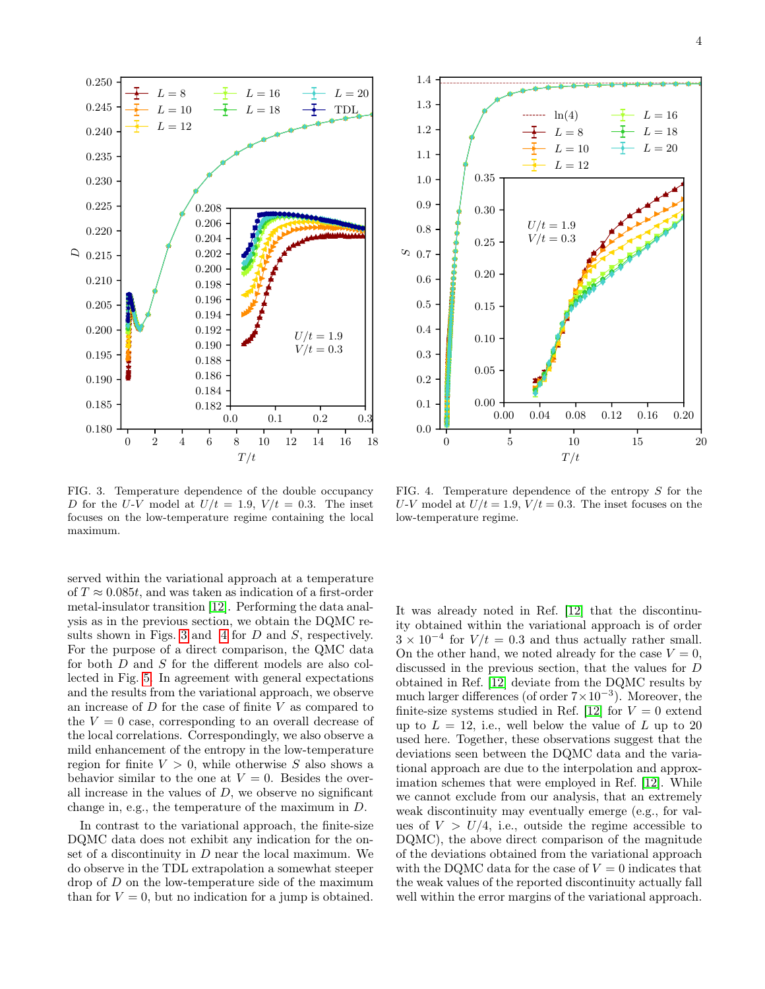



<span id="page-3-0"></span>FIG. 3. Temperature dependence of the double occupancy D for the U-V model at  $U/t = 1.9$ ,  $V/t = 0.3$ . The inset focuses on the low-temperature regime containing the local maximum.

served within the variational approach at a temperature of  $T \approx 0.085t$ , and was taken as indication of a first-order metal-insulator transition [\[12\]](#page-6-8). Performing the data analysis as in the previous section, we obtain the DQMC re-sults shown in Figs. [3](#page-3-0) and [4](#page-3-1) for D and S, respectively. For the purpose of a direct comparison, the QMC data for both  $D$  and  $S$  for the different models are also collected in Fig. [5.](#page-4-1) In agreement with general expectations and the results from the variational approach, we observe an increase of  $D$  for the case of finite  $V$  as compared to the  $V = 0$  case, corresponding to an overall decrease of the local correlations. Correspondingly, we also observe a mild enhancement of the entropy in the low-temperature region for finite  $V > 0$ , while otherwise S also shows a behavior similar to the one at  $V = 0$ . Besides the overall increase in the values of  $D$ , we observe no significant change in, e.g., the temperature of the maximum in D.

In contrast to the variational approach, the finite-size DQMC data does not exhibit any indication for the onset of a discontinuity in D near the local maximum. We do observe in the TDL extrapolation a somewhat steeper drop of D on the low-temperature side of the maximum than for  $V = 0$ , but no indication for a jump is obtained.

<span id="page-3-1"></span>FIG. 4. Temperature dependence of the entropy S for the U-V model at  $U/t = 1.9$ ,  $V/t = 0.3$ . The inset focuses on the low-temperature regime.

It was already noted in Ref. [\[12\]](#page-6-8) that the discontinuity obtained within the variational approach is of order  $3 \times 10^{-4}$  for  $V/t = 0.3$  and thus actually rather small. On the other hand, we noted already for the case  $V = 0$ , discussed in the previous section, that the values for D obtained in Ref. [\[12\]](#page-6-8) deviate from the DQMC results by much larger differences (of order  $7 \times 10^{-3}$ ). Moreover, the finite-size systems studied in Ref. [\[12\]](#page-6-8) for  $V = 0$  extend up to  $L = 12$ , i.e., well below the value of L up to 20 used here. Together, these observations suggest that the deviations seen between the DQMC data and the variational approach are due to the interpolation and approximation schemes that were employed in Ref. [\[12\]](#page-6-8). While we cannot exclude from our analysis, that an extremely weak discontinuity may eventually emerge (e.g., for values of  $V > U/4$ , i.e., outside the regime accessible to DQMC), the above direct comparison of the magnitude of the deviations obtained from the variational approach with the DQMC data for the case of  $V = 0$  indicates that the weak values of the reported discontinuity actually fall well within the error margins of the variational approach.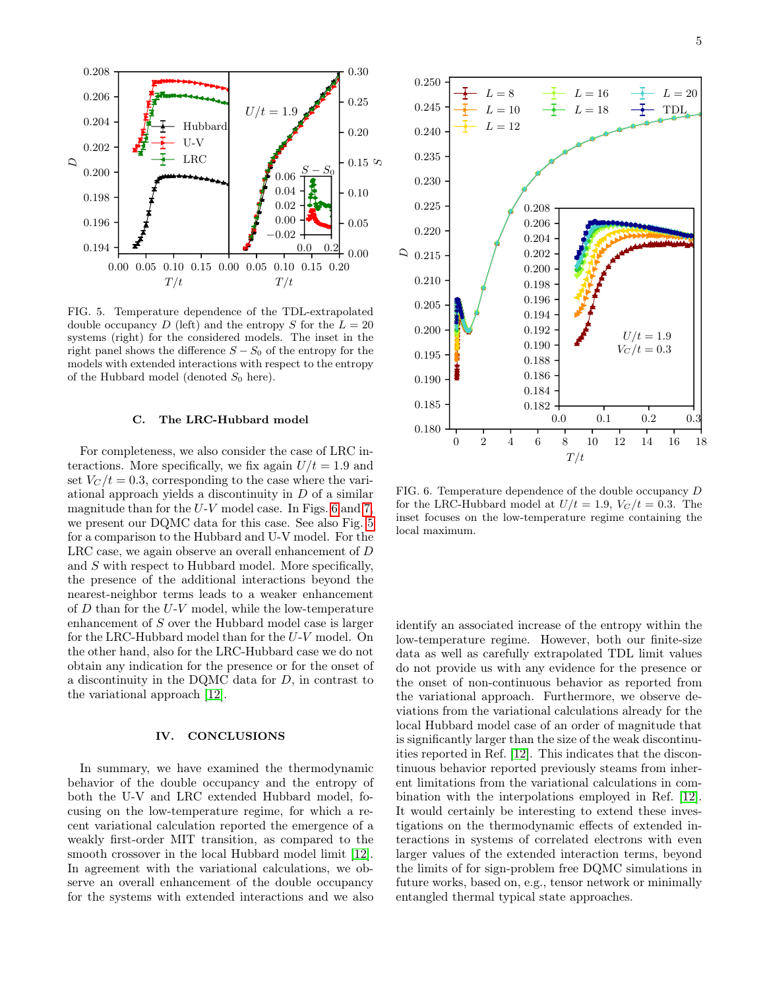

<span id="page-4-1"></span>FIG. 5. Temperature dependence of the TDL-extrapolated double occupancy D (left) and the entropy S for the  $L = 20$ systems (right) for the considered models. The inset in the right panel shows the difference  $S - S_0$  of the entropy for the models with extended interactions with respect to the entropy of the Hubbard model (denoted  $S_0$  here).

# C. The LRC-Hubbard model

For completeness, we also consider the case of LRC interactions. More specifically, we fix again  $U/t = 1.9$  and set  $V_C/t = 0.3$ , corresponding to the case where the variational approach yields a discontinuity in D of a similar magnitude than for the  $U-V$  model case. In Figs. [6](#page-4-2) and [7,](#page-5-2) we present our DQMC data for this case. See also Fig. [5](#page-4-1) for a comparison to the Hubbard and U-V model. For the LRC case, we again observe an overall enhancement of D and S with respect to Hubbard model. More specifically, the presence of the additional interactions beyond the nearest-neighbor terms leads to a weaker enhancement of  $D$  than for the  $U-V$  model, while the low-temperature enhancement of S over the Hubbard model case is larger for the LRC-Hubbard model than for the U-V model. On the other hand, also for the LRC-Hubbard case we do not obtain any indication for the presence or for the onset of a discontinuity in the DQMC data for D, in contrast to the variational approach [\[12\]](#page-6-8).

# <span id="page-4-0"></span>IV. CONCLUSIONS

In summary, we have examined the thermodynamic behavior of the double occupancy and the entropy of both the U-V and LRC extended Hubbard model, focusing on the low-temperature regime, for which a recent variational calculation reported the emergence of a weakly first-order MIT transition, as compared to the smooth crossover in the local Hubbard model limit [\[12\]](#page-6-8). In agreement with the variational calculations, we observe an overall enhancement of the double occupancy for the systems with extended interactions and we also



<span id="page-4-2"></span>FIG. 6. Temperature dependence of the double occupancy D for the LRC-Hubbard model at  $U/t = 1.9$ ,  $V_C/t = 0.3$ . The inset focuses on the low-temperature regime containing the local maximum.

identify an associated increase of the entropy within the low-temperature regime. However, both our finite-size data as well as carefully extrapolated TDL limit values do not provide us with any evidence for the presence or the onset of non-continuous behavior as reported from the variational approach. Furthermore, we observe deviations from the variational calculations already for the local Hubbard model case of an order of magnitude that is significantly larger than the size of the weak discontinuities reported in Ref. [\[12\]](#page-6-8). This indicates that the discontinuous behavior reported previously steams from inherent limitations from the variational calculations in combination with the interpolations employed in Ref. [\[12\]](#page-6-8). It would certainly be interesting to extend these investigations on the thermodynamic effects of extended interactions in systems of correlated electrons with even larger values of the extended interaction terms, beyond the limits of for sign-problem free DQMC simulations in future works, based on, e.g., tensor network or minimally entangled thermal typical state approaches.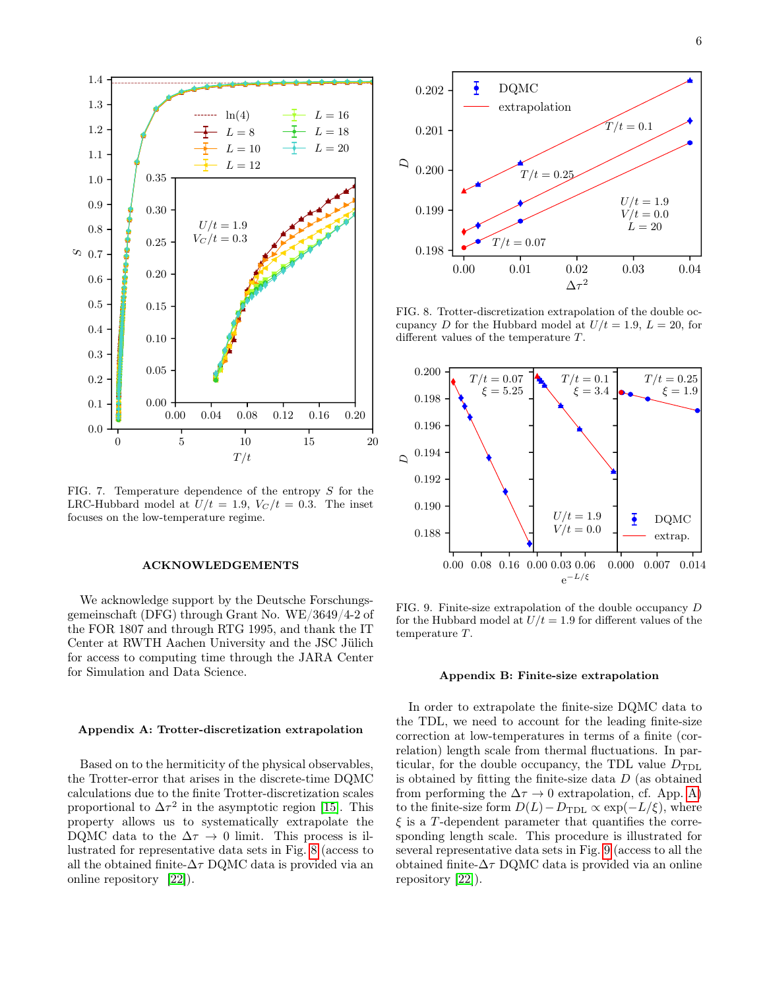

<span id="page-5-2"></span>FIG. 7. Temperature dependence of the entropy  $S$  for the LRC-Hubbard model at  $U/t = 1.9$ ,  $V_C/t = 0.3$ . The inset focuses on the low-temperature regime.

#### ACKNOWLEDGEMENTS

We acknowledge support by the Deutsche Forschungsgemeinschaft (DFG) through Grant No. WE/3649/4-2 of the FOR 1807 and through RTG 1995, and thank the IT Center at RWTH Aachen University and the JSC Jülich for access to computing time through the JARA Center for Simulation and Data Science.

#### <span id="page-5-0"></span>Appendix A: Trotter-discretization extrapolation

Based on to the hermiticity of the physical observables, the Trotter-error that arises in the discrete-time DQMC calculations due to the finite Trotter-discretization scales proportional to  $\Delta \tau^2$  in the asymptotic region [\[15\]](#page-6-11). This property allows us to systematically extrapolate the DQMC data to the  $\Delta \tau \rightarrow 0$  limit. This process is illustrated for representative data sets in Fig. [8](#page-5-3) (access to all the obtained finite- $\Delta \tau$  DQMC data is provided via an online repository [\[22\]](#page-6-19)).



<span id="page-5-3"></span>FIG. 8. Trotter-discretization extrapolation of the double occupancy D for the Hubbard model at  $U/t = 1.9, L = 20$ , for different values of the temperature T.



<span id="page-5-4"></span>FIG. 9. Finite-size extrapolation of the double occupancy D for the Hubbard model at  $U/t = 1.9$  for different values of the temperature T.

#### <span id="page-5-1"></span>Appendix B: Finite-size extrapolation

In order to extrapolate the finite-size DQMC data to the TDL, we need to account for the leading finite-size correction at low-temperatures in terms of a finite (correlation) length scale from thermal fluctuations. In particular, for the double occupancy, the TDL value  $D_{\text{TDL}}$ is obtained by fitting the finite-size data  $D$  (as obtained from performing the  $\Delta \tau \rightarrow 0$  extrapolation, cf. App. [A\)](#page-5-0) to the finite-size form  $D(L)-D_{\text{TDL}} \propto \exp(-L/\xi)$ , where  $\xi$  is a T-dependent parameter that quantifies the corresponding length scale. This procedure is illustrated for several representative data sets in Fig. [9](#page-5-4) (access to all the obtained finite- $\Delta \tau$ DQMC data is provided via an online repository [\[22\]](#page-6-19)).